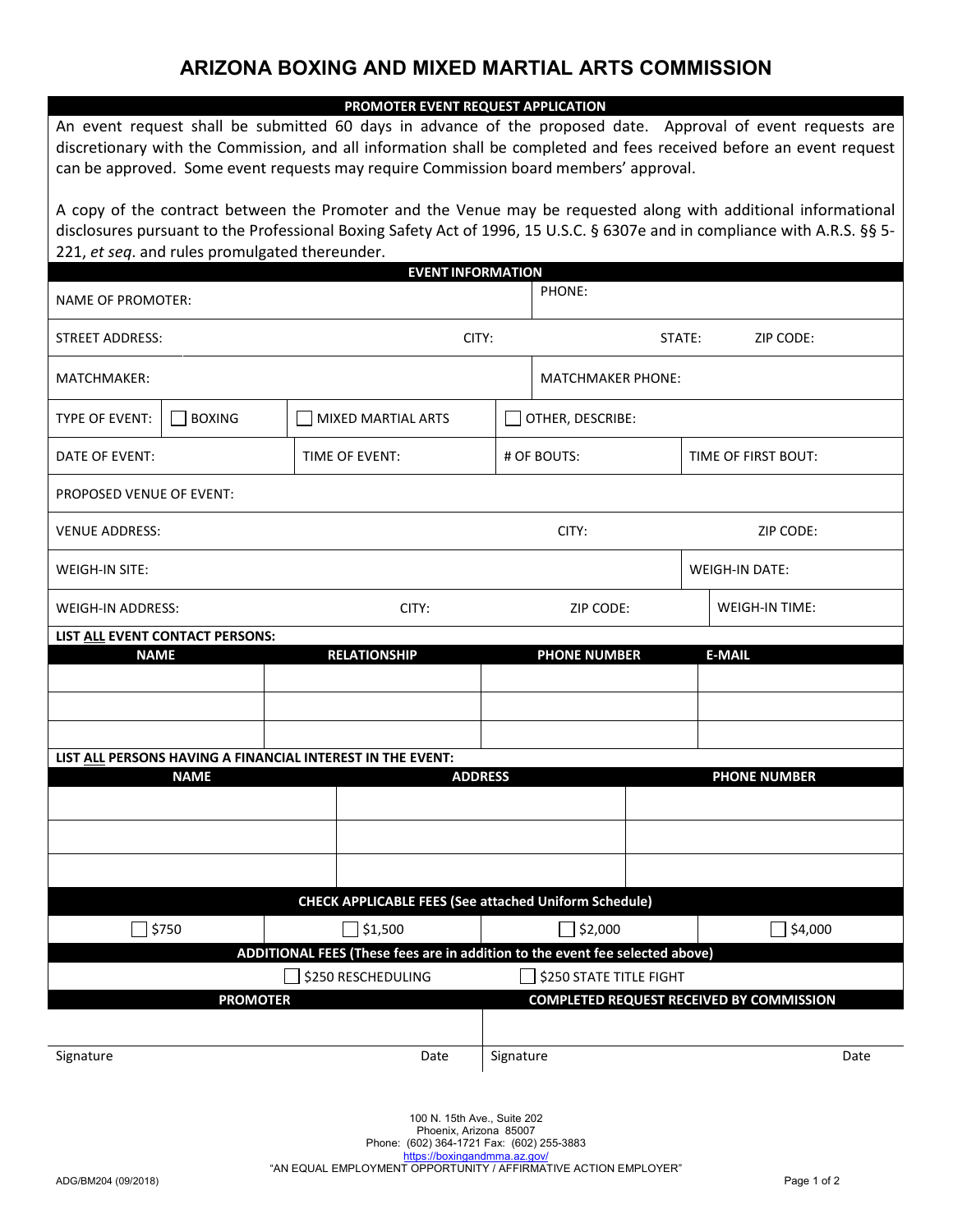## **ARIZONA BOXING AND MIXED MARTIAL ARTS COMMISSION**

| PROMOTER EVENT REQUEST APPLICATION                                                                                                                                                                                                                                                                                         |                     |                          |                       |  |
|----------------------------------------------------------------------------------------------------------------------------------------------------------------------------------------------------------------------------------------------------------------------------------------------------------------------------|---------------------|--------------------------|-----------------------|--|
| An event request shall be submitted 60 days in advance of the proposed date. Approval of event requests are<br>discretionary with the Commission, and all information shall be completed and fees received before an event request<br>can be approved. Some event requests may require Commission board members' approval. |                     |                          |                       |  |
| A copy of the contract between the Promoter and the Venue may be requested along with additional informational<br>disclosures pursuant to the Professional Boxing Safety Act of 1996, 15 U.S.C. § 6307e and in compliance with A.R.S. §§ 5-<br>221, et seq. and rules promulgated thereunder.<br><b>EVENT INFORMATION</b>  |                     |                          |                       |  |
| <b>NAME OF PROMOTER:</b>                                                                                                                                                                                                                                                                                                   |                     | PHONE:                   |                       |  |
| STREET ADDRESS:                                                                                                                                                                                                                                                                                                            | CITY:               | ZIP CODE:<br>STATE:      |                       |  |
| MATCHMAKER:                                                                                                                                                                                                                                                                                                                |                     | <b>MATCHMAKER PHONE:</b> |                       |  |
| <b>BOXING</b><br>TYPE OF EVENT:                                                                                                                                                                                                                                                                                            | MIXED MARTIAL ARTS  | OTHER, DESCRIBE:         |                       |  |
| DATE OF EVENT:                                                                                                                                                                                                                                                                                                             | TIME OF EVENT:      | # OF BOUTS:              | TIME OF FIRST BOUT:   |  |
| PROPOSED VENUE OF EVENT:                                                                                                                                                                                                                                                                                                   |                     |                          |                       |  |
| <b>VENUE ADDRESS:</b>                                                                                                                                                                                                                                                                                                      |                     | CITY:                    | ZIP CODE:             |  |
| WEIGH-IN SITE:                                                                                                                                                                                                                                                                                                             |                     |                          | <b>WEIGH-IN DATE:</b> |  |
| WEIGH-IN ADDRESS:                                                                                                                                                                                                                                                                                                          | CITY:               | ZIP CODE:                | WEIGH-IN TIME:        |  |
| LIST ALL EVENT CONTACT PERSONS:                                                                                                                                                                                                                                                                                            |                     |                          |                       |  |
| <b>NAME</b>                                                                                                                                                                                                                                                                                                                | <b>RELATIONSHIP</b> | <b>PHONE NUMBER</b>      | <b>E-MAIL</b>         |  |
|                                                                                                                                                                                                                                                                                                                            |                     |                          |                       |  |
|                                                                                                                                                                                                                                                                                                                            |                     |                          |                       |  |
| LIST ALL PERSONS HAVING A FINANCIAL INTEREST IN THE EVENT:<br><b>NAME</b><br><b>ADDRESS</b><br><b>PHONE NUMBER</b>                                                                                                                                                                                                         |                     |                          |                       |  |
|                                                                                                                                                                                                                                                                                                                            |                     |                          |                       |  |
|                                                                                                                                                                                                                                                                                                                            |                     |                          |                       |  |
|                                                                                                                                                                                                                                                                                                                            |                     |                          |                       |  |
| <b>CHECK APPLICABLE FEES (See attached Uniform Schedule)</b>                                                                                                                                                                                                                                                               |                     |                          |                       |  |
| $\Box$ \$750                                                                                                                                                                                                                                                                                                               | $\Box$ \$1,500      | $\sqrt{ }$ \$2,000       | $\Box$ \$4,000        |  |
| ADDITIONAL FEES (These fees are in addition to the event fee selected above)                                                                                                                                                                                                                                               |                     |                          |                       |  |
| <b>\$250 RESCHEDULING</b><br><b>\$250 STATE TITLE FIGHT</b>                                                                                                                                                                                                                                                                |                     |                          |                       |  |
| <b>COMPLETED REQUEST RECEIVED BY COMMISSION</b><br><b>PROMOTER</b>                                                                                                                                                                                                                                                         |                     |                          |                       |  |
| Signature                                                                                                                                                                                                                                                                                                                  | Date                | Signature                | Date                  |  |

100 N. 15th Ave., Suite 202 Phoenix, Arizona 85007 Phone: (602) 364-1721 Fax: (602) 255-3883 <https://boxingandmma.az.gov/> "AN EQUAL EMPLOYMENT OPPORTUNITY / AFFIRMATIVE ACTION EMPLOYER"